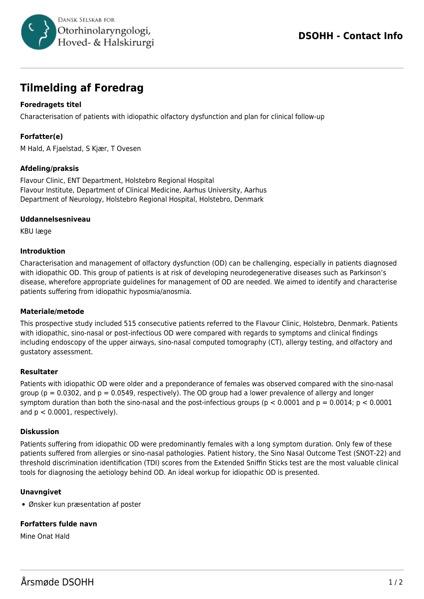

# **Tilmelding af Foredrag**

# **Foredragets titel**

Characterisation of patients with idiopathic olfactory dysfunction and plan for clinical follow-up

# **Forfatter(e)**

M Hald, A Fjaelstad, S Kjær, T Ovesen

## **Afdeling/praksis**

Flavour Clinic, ENT Department, Holstebro Regional Hospital Flavour Institute, Department of Clinical Medicine, Aarhus University, Aarhus Department of Neurology, Holstebro Regional Hospital, Holstebro, Denmark

#### **Uddannelsesniveau**

KBU læge

#### **Introduktion**

Characterisation and management of olfactory dysfunction (OD) can be challenging, especially in patients diagnosed with idiopathic OD. This group of patients is at risk of developing neurodegenerative diseases such as Parkinson's disease, wherefore appropriate guidelines for management of OD are needed. We aimed to identify and characterise patients suffering from idiopathic hyposmia/anosmia.

#### **Materiale/metode**

This prospective study included 515 consecutive patients referred to the Flavour Clinic, Holstebro, Denmark. Patients with idiopathic, sino-nasal or post-infectious OD were compared with regards to symptoms and clinical findings including endoscopy of the upper airways, sino-nasal computed tomography (CT), allergy testing, and olfactory and gustatory assessment.

#### **Resultater**

Patients with idiopathic OD were older and a preponderance of females was observed compared with the sino-nasal group ( $p = 0.0302$ , and  $p = 0.0549$ , respectively). The OD group had a lower prevalence of allergy and longer symptom duration than both the sino-nasal and the post-infectious groups ( $p < 0.0001$  and  $p = 0.0014$ ;  $p < 0.0001$ and  $p < 0.0001$ , respectively).

#### **Diskussion**

Patients suffering from idiopathic OD were predominantly females with a long symptom duration. Only few of these patients suffered from allergies or sino-nasal pathologies. Patient history, the Sino Nasal Outcome Test (SNOT-22) and threshold discrimination identification (TDI) scores from the Extended Sniffin Sticks test are the most valuable clinical tools for diagnosing the aetiology behind OD. An ideal workup for idiopathic OD is presented.

## **Unavngivet**

Ønsker kun præsentation af poster

## **Forfatters fulde navn**

Mine Onat Hald